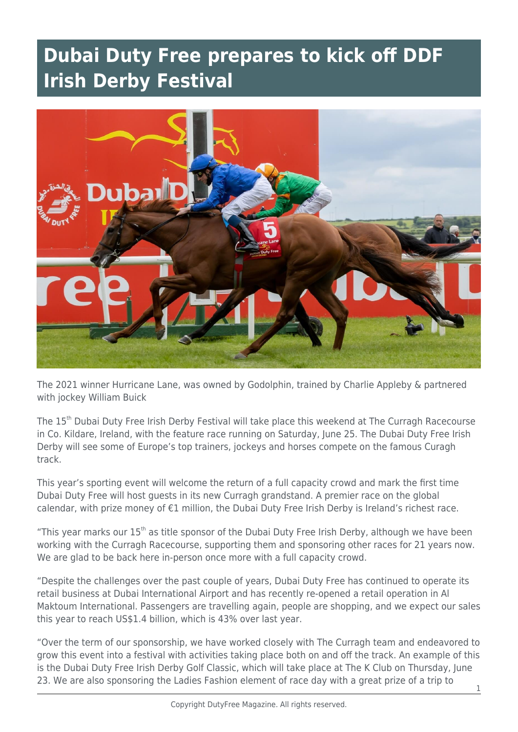## **Dubai Duty Free prepares to kick off DDF Irish Derby Festival**



The 2021 winner Hurricane Lane, was owned by Godolphin, trained by Charlie Appleby & partnered with jockey William Buick

The 15<sup>th</sup> Dubai Duty Free Irish Derby Festival will take place this weekend at The Curragh Racecourse in Co. Kildare, Ireland, with the feature race running on Saturday, June 25. The Dubai Duty Free Irish Derby will see some of Europe's top trainers, jockeys and horses compete on the famous Curagh track.

This year's sporting event will welcome the return of a full capacity crowd and mark the first time Dubai Duty Free will host guests in its new Curragh grandstand. A premier race on the global calendar, with prize money of €1 million, the Dubai Duty Free Irish Derby is Ireland's richest race.

"This year marks our 15<sup>th</sup> as title sponsor of the Dubai Duty Free Irish Derby, although we have been working with the Curragh Racecourse, supporting them and sponsoring other races for 21 years now. We are glad to be back here in-person once more with a full capacity crowd.

"Despite the challenges over the past couple of years, Dubai Duty Free has continued to operate its retail business at Dubai International Airport and has recently re-opened a retail operation in Al Maktoum International. Passengers are travelling again, people are shopping, and we expect our sales this year to reach US\$1.4 billion, which is 43% over last year.

"Over the term of our sponsorship, we have worked closely with The Curragh team and endeavored to grow this event into a festival with activities taking place both on and off the track. An example of this is the Dubai Duty Free Irish Derby Golf Classic, which will take place at The K Club on Thursday, June 23. We are also sponsoring the Ladies Fashion element of race day with a great prize of a trip to